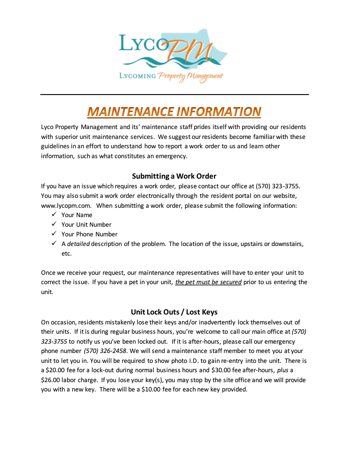

# **MAINTENANCE INFORMATION**

Lyco Property Management and its' maintenance staff prides itself with providing our residents with superior unit maintenance services. We suggest our residents become familiar with these guidelines in an effort to understand how to report a work order to us and learn other information, such as what constitutes an emergency.

# **Submitting a Work Order**

If you have an issue which requires a work order, please contact our office at (570) 323-3755. You may also submit a work order electronically through the resident portal on our website, www.lycopm.com. When submitting a work order, please submit the following information:

- $\checkmark$  Your Name
- $\checkmark$  Your Unit Number
- $\checkmark$  Your Phone Number
- $\checkmark$  A *detailed* description of the problem. The location of the issue, upstairs or downstairs, etc.

Once we receive your request, our maintenance representatives will have to enter your unit to correct the issue. If you have a pet in your unit, *the pet must be secured* prior to us entering the unit.

# **Unit Lock Outs / Lost Keys**

On occasion, residents mistakenly lose their keys and/or inadvertently lock themselves out of their units. If it is during regular business hours, you're welcome to call our main office at *(570) 323-3755* to notify us you've been locked out. If it is after-hours, please call our emergency phone number *(570) 326-2458*. We will send a maintenance staff member to meet you at your unit to let you in. You will be required to show photo I.D. to gain re-entry into the unit. There is a \$20.00 fee for a lock-out during normal business hours and \$30.00 fee after-hours, *plus* a \$26.00 labor charge. If you lose your key(s), you may stop by the site office and we will provide you with a new key. There will be a \$10.00 fee for each new key provided.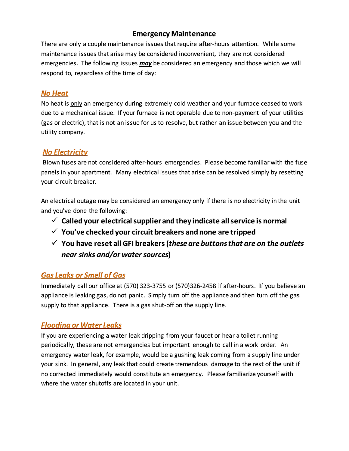## **Emergency Maintenance**

There are only a couple maintenance issues that require after-hours attention. While some maintenance issues that arise may be considered inconvenient, they are not considered emergencies. The following issues *may* be considered an emergency and those which we will respond to, regardless of the time of day:

### **No Heat**

No heat is only an emergency during extremely cold weather and your furnace ceased to work due to a mechanical issue. If your furnace is not operable due to non-payment of your utilities (gas or electric), that is not an issue for us to resolve, but rather an issue between you and the utility company.

## **No Electricity**

Blown fuses are not considered after-hours emergencies. Please become familiar with the fuse panels in your apartment. Many electrical issues that arise can be resolved simply by resetting your circuit breaker.

An electrical outage may be considered an emergency only if there is no electricity in the unit and you've done the following:

- **Called your electrical supplier and they indicate all service is normal**
- **You've checked your circuit breakers and none are tripped**
- **You have reset all GFI breakers (***these are buttons that are on the outlets near sinks and/or water sources***)**

# **Gas Leaks or Smell of Gas**

Immediately call our office at (570) 323-3755 or (570)326-2458 if after-hours. If you believe an appliance is leaking gas, do not panic. Simply turn off the appliance and then turn off the gas supply to that appliance. There is a gas shut-off on the supply line.

## **Flooding or Water Leaks**

If you are experiencing a water leak dripping from your faucet or hear a toilet running periodically, these are not emergencies but important enough to call in a work order. An emergency water leak, for example, would be a gushing leak coming from a supply line under your sink. In general, any leak that could create tremendous damage to the rest of the unit if no corrected immediately would constitute an emergency. Please familiarize yourself with where the water shutoffs are located in your unit.